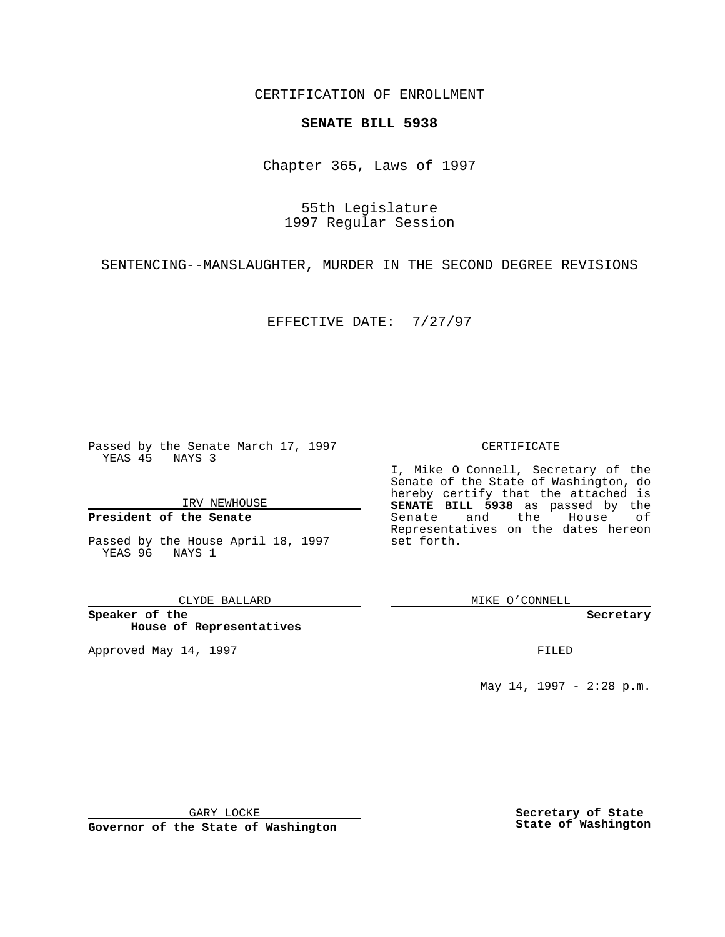CERTIFICATION OF ENROLLMENT

# **SENATE BILL 5938**

Chapter 365, Laws of 1997

55th Legislature 1997 Regular Session

SENTENCING--MANSLAUGHTER, MURDER IN THE SECOND DEGREE REVISIONS

EFFECTIVE DATE: 7/27/97

Passed by the Senate March 17, 1997 YEAS 45 NAYS 3

IRV NEWHOUSE

### **President of the Senate**

Passed by the House April 18, 1997 YEAS 96 NAYS 1

CLYDE BALLARD

**Speaker of the House of Representatives**

Approved May 14, 1997 **FILED** 

### CERTIFICATE

I, Mike O Connell, Secretary of the Senate of the State of Washington, do hereby certify that the attached is **SENATE BILL 5938** as passed by the Senate and the House of Representatives on the dates hereon set forth.

MIKE O'CONNELL

#### **Secretary**

May 14, 1997 - 2:28 p.m.

GARY LOCKE

**Governor of the State of Washington**

**Secretary of State State of Washington**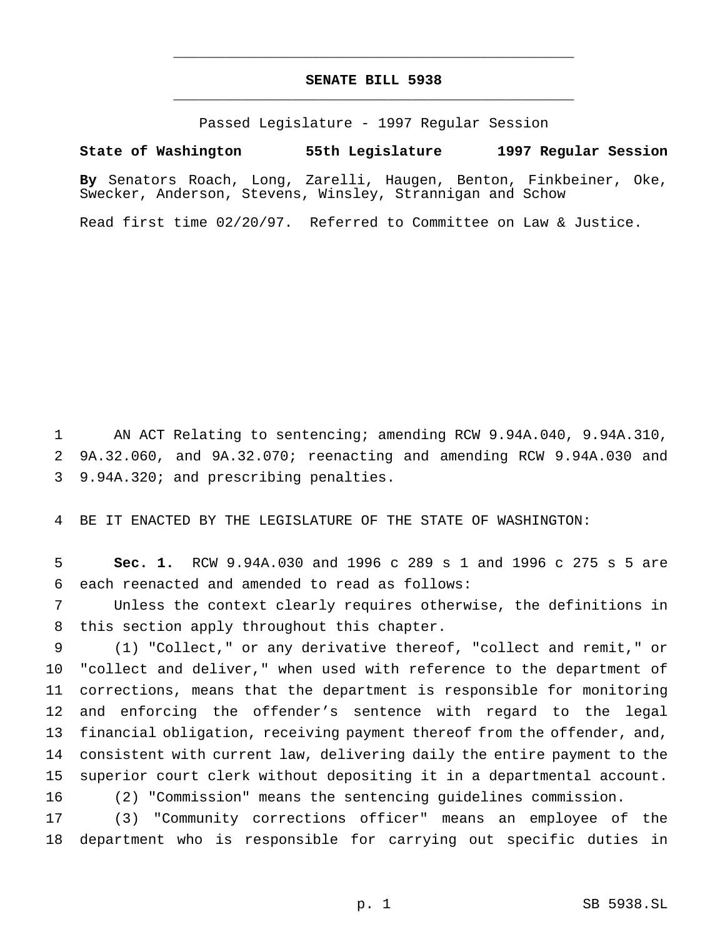# **SENATE BILL 5938** \_\_\_\_\_\_\_\_\_\_\_\_\_\_\_\_\_\_\_\_\_\_\_\_\_\_\_\_\_\_\_\_\_\_\_\_\_\_\_\_\_\_\_\_\_\_\_

\_\_\_\_\_\_\_\_\_\_\_\_\_\_\_\_\_\_\_\_\_\_\_\_\_\_\_\_\_\_\_\_\_\_\_\_\_\_\_\_\_\_\_\_\_\_\_

Passed Legislature - 1997 Regular Session

## **State of Washington 55th Legislature 1997 Regular Session**

**By** Senators Roach, Long, Zarelli, Haugen, Benton, Finkbeiner, Oke, Swecker, Anderson, Stevens, Winsley, Strannigan and Schow

Read first time 02/20/97. Referred to Committee on Law & Justice.

 AN ACT Relating to sentencing; amending RCW 9.94A.040, 9.94A.310, 9A.32.060, and 9A.32.070; reenacting and amending RCW 9.94A.030 and 9.94A.320; and prescribing penalties.

BE IT ENACTED BY THE LEGISLATURE OF THE STATE OF WASHINGTON:

 **Sec. 1.** RCW 9.94A.030 and 1996 c 289 s 1 and 1996 c 275 s 5 are each reenacted and amended to read as follows:

 Unless the context clearly requires otherwise, the definitions in this section apply throughout this chapter.

 (1) "Collect," or any derivative thereof, "collect and remit," or "collect and deliver," when used with reference to the department of corrections, means that the department is responsible for monitoring and enforcing the offender's sentence with regard to the legal financial obligation, receiving payment thereof from the offender, and, consistent with current law, delivering daily the entire payment to the superior court clerk without depositing it in a departmental account. (2) "Commission" means the sentencing guidelines commission.

 (3) "Community corrections officer" means an employee of the department who is responsible for carrying out specific duties in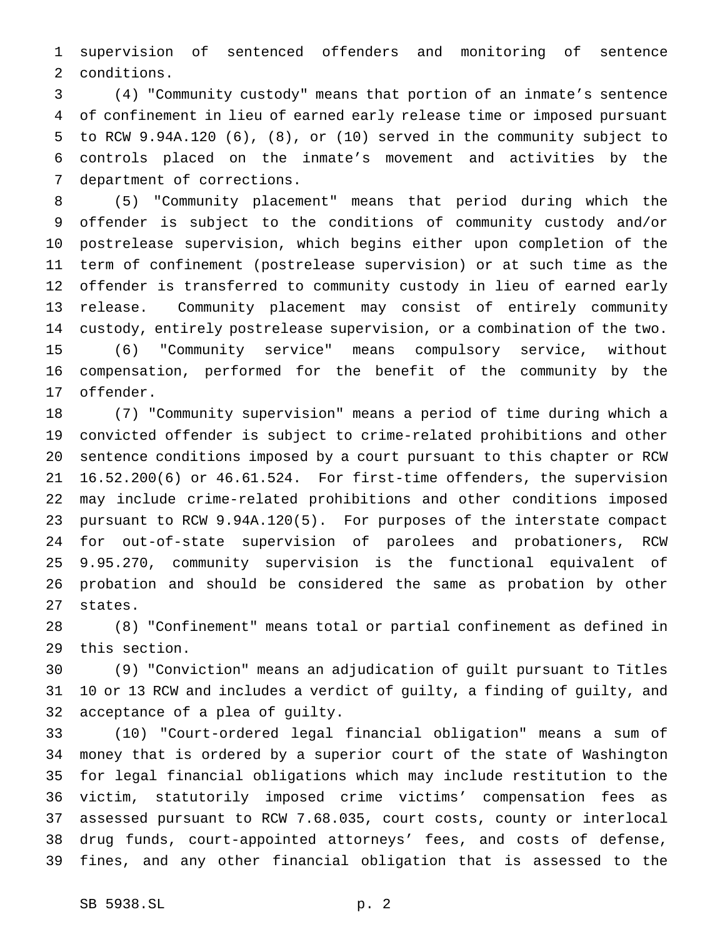supervision of sentenced offenders and monitoring of sentence conditions.

 (4) "Community custody" means that portion of an inmate's sentence of confinement in lieu of earned early release time or imposed pursuant to RCW 9.94A.120 (6), (8), or (10) served in the community subject to controls placed on the inmate's movement and activities by the department of corrections.

 (5) "Community placement" means that period during which the offender is subject to the conditions of community custody and/or postrelease supervision, which begins either upon completion of the term of confinement (postrelease supervision) or at such time as the offender is transferred to community custody in lieu of earned early release. Community placement may consist of entirely community custody, entirely postrelease supervision, or a combination of the two. (6) "Community service" means compulsory service, without compensation, performed for the benefit of the community by the offender.

 (7) "Community supervision" means a period of time during which a convicted offender is subject to crime-related prohibitions and other sentence conditions imposed by a court pursuant to this chapter or RCW 16.52.200(6) or 46.61.524. For first-time offenders, the supervision may include crime-related prohibitions and other conditions imposed pursuant to RCW 9.94A.120(5). For purposes of the interstate compact for out-of-state supervision of parolees and probationers, RCW 9.95.270, community supervision is the functional equivalent of probation and should be considered the same as probation by other states.

 (8) "Confinement" means total or partial confinement as defined in this section.

 (9) "Conviction" means an adjudication of guilt pursuant to Titles 10 or 13 RCW and includes a verdict of guilty, a finding of guilty, and acceptance of a plea of guilty.

 (10) "Court-ordered legal financial obligation" means a sum of money that is ordered by a superior court of the state of Washington for legal financial obligations which may include restitution to the victim, statutorily imposed crime victims' compensation fees as assessed pursuant to RCW 7.68.035, court costs, county or interlocal drug funds, court-appointed attorneys' fees, and costs of defense, fines, and any other financial obligation that is assessed to the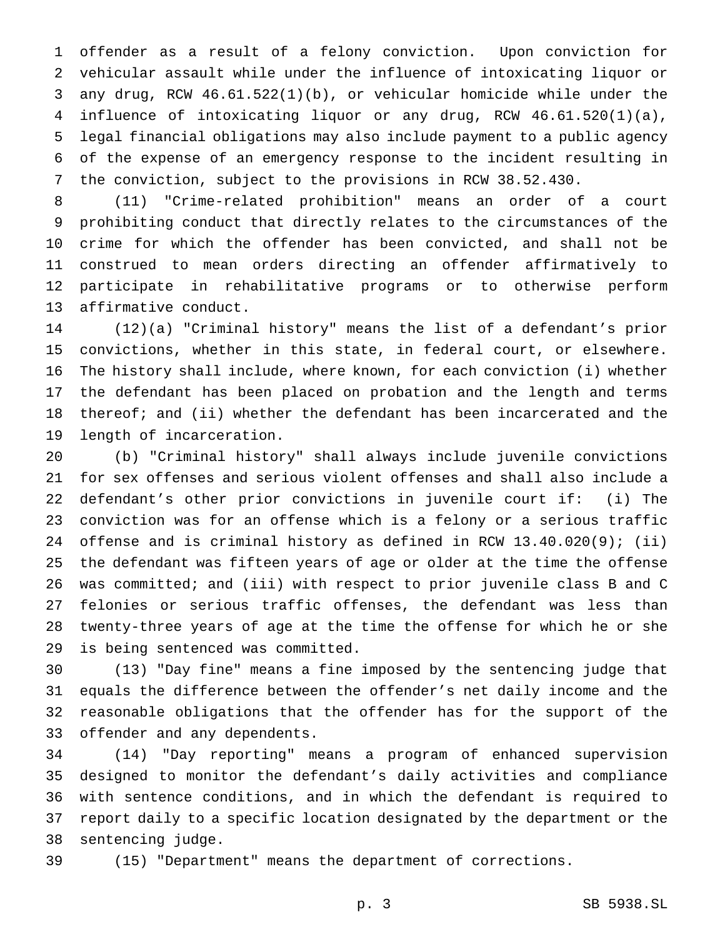offender as a result of a felony conviction. Upon conviction for vehicular assault while under the influence of intoxicating liquor or any drug, RCW 46.61.522(1)(b), or vehicular homicide while under the influence of intoxicating liquor or any drug, RCW 46.61.520(1)(a), legal financial obligations may also include payment to a public agency of the expense of an emergency response to the incident resulting in the conviction, subject to the provisions in RCW 38.52.430.

 (11) "Crime-related prohibition" means an order of a court prohibiting conduct that directly relates to the circumstances of the crime for which the offender has been convicted, and shall not be construed to mean orders directing an offender affirmatively to participate in rehabilitative programs or to otherwise perform affirmative conduct.

 (12)(a) "Criminal history" means the list of a defendant's prior convictions, whether in this state, in federal court, or elsewhere. The history shall include, where known, for each conviction (i) whether the defendant has been placed on probation and the length and terms thereof; and (ii) whether the defendant has been incarcerated and the length of incarceration.

 (b) "Criminal history" shall always include juvenile convictions for sex offenses and serious violent offenses and shall also include a defendant's other prior convictions in juvenile court if: (i) The conviction was for an offense which is a felony or a serious traffic offense and is criminal history as defined in RCW 13.40.020(9); (ii) the defendant was fifteen years of age or older at the time the offense was committed; and (iii) with respect to prior juvenile class B and C felonies or serious traffic offenses, the defendant was less than twenty-three years of age at the time the offense for which he or she is being sentenced was committed.

 (13) "Day fine" means a fine imposed by the sentencing judge that equals the difference between the offender's net daily income and the reasonable obligations that the offender has for the support of the offender and any dependents.

 (14) "Day reporting" means a program of enhanced supervision designed to monitor the defendant's daily activities and compliance with sentence conditions, and in which the defendant is required to report daily to a specific location designated by the department or the sentencing judge.

(15) "Department" means the department of corrections.

p. 3 SB 5938.SL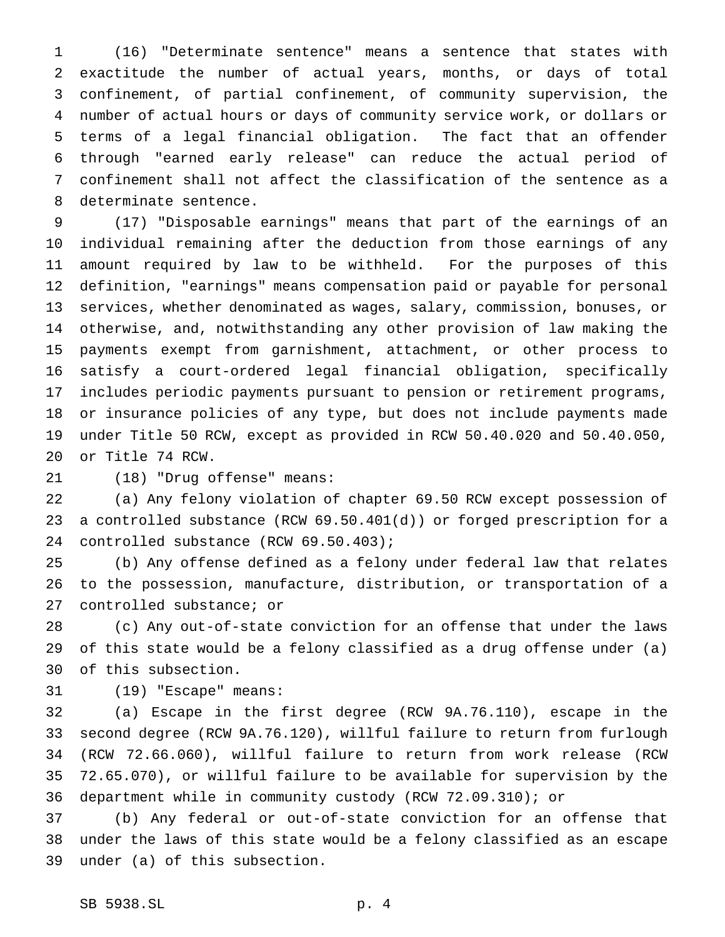(16) "Determinate sentence" means a sentence that states with exactitude the number of actual years, months, or days of total confinement, of partial confinement, of community supervision, the number of actual hours or days of community service work, or dollars or terms of a legal financial obligation. The fact that an offender through "earned early release" can reduce the actual period of confinement shall not affect the classification of the sentence as a determinate sentence.

 (17) "Disposable earnings" means that part of the earnings of an individual remaining after the deduction from those earnings of any amount required by law to be withheld. For the purposes of this definition, "earnings" means compensation paid or payable for personal services, whether denominated as wages, salary, commission, bonuses, or otherwise, and, notwithstanding any other provision of law making the payments exempt from garnishment, attachment, or other process to satisfy a court-ordered legal financial obligation, specifically includes periodic payments pursuant to pension or retirement programs, or insurance policies of any type, but does not include payments made under Title 50 RCW, except as provided in RCW 50.40.020 and 50.40.050, or Title 74 RCW.

(18) "Drug offense" means:

 (a) Any felony violation of chapter 69.50 RCW except possession of a controlled substance (RCW 69.50.401(d)) or forged prescription for a controlled substance (RCW 69.50.403);

 (b) Any offense defined as a felony under federal law that relates to the possession, manufacture, distribution, or transportation of a controlled substance; or

 (c) Any out-of-state conviction for an offense that under the laws of this state would be a felony classified as a drug offense under (a) of this subsection.

(19) "Escape" means:

 (a) Escape in the first degree (RCW 9A.76.110), escape in the second degree (RCW 9A.76.120), willful failure to return from furlough (RCW 72.66.060), willful failure to return from work release (RCW 72.65.070), or willful failure to be available for supervision by the department while in community custody (RCW 72.09.310); or

 (b) Any federal or out-of-state conviction for an offense that under the laws of this state would be a felony classified as an escape under (a) of this subsection.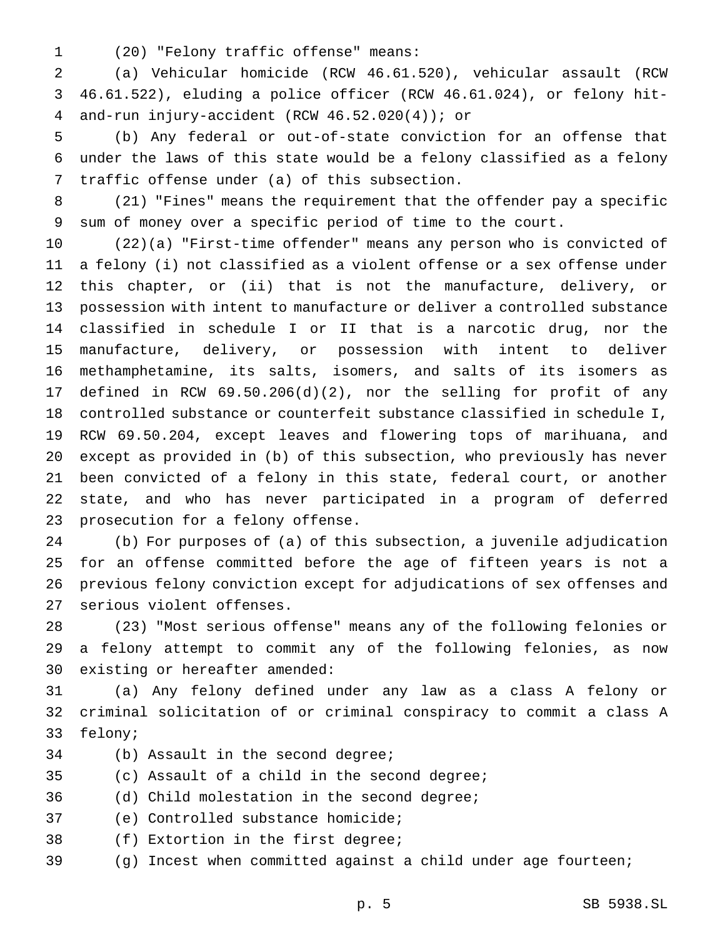(20) "Felony traffic offense" means:

 (a) Vehicular homicide (RCW 46.61.520), vehicular assault (RCW 46.61.522), eluding a police officer (RCW 46.61.024), or felony hit-and-run injury-accident (RCW 46.52.020(4)); or

 (b) Any federal or out-of-state conviction for an offense that under the laws of this state would be a felony classified as a felony traffic offense under (a) of this subsection.

 (21) "Fines" means the requirement that the offender pay a specific sum of money over a specific period of time to the court.

 (22)(a) "First-time offender" means any person who is convicted of a felony (i) not classified as a violent offense or a sex offense under this chapter, or (ii) that is not the manufacture, delivery, or possession with intent to manufacture or deliver a controlled substance classified in schedule I or II that is a narcotic drug, nor the manufacture, delivery, or possession with intent to deliver methamphetamine, its salts, isomers, and salts of its isomers as defined in RCW 69.50.206(d)(2), nor the selling for profit of any controlled substance or counterfeit substance classified in schedule I, RCW 69.50.204, except leaves and flowering tops of marihuana, and except as provided in (b) of this subsection, who previously has never been convicted of a felony in this state, federal court, or another state, and who has never participated in a program of deferred prosecution for a felony offense.

 (b) For purposes of (a) of this subsection, a juvenile adjudication for an offense committed before the age of fifteen years is not a previous felony conviction except for adjudications of sex offenses and serious violent offenses.

 (23) "Most serious offense" means any of the following felonies or a felony attempt to commit any of the following felonies, as now existing or hereafter amended:

 (a) Any felony defined under any law as a class A felony or criminal solicitation of or criminal conspiracy to commit a class A felony;

- (b) Assault in the second degree;
- (c) Assault of a child in the second degree;
- (d) Child molestation in the second degree;
- (e) Controlled substance homicide;
- (f) Extortion in the first degree;
- (g) Incest when committed against a child under age fourteen;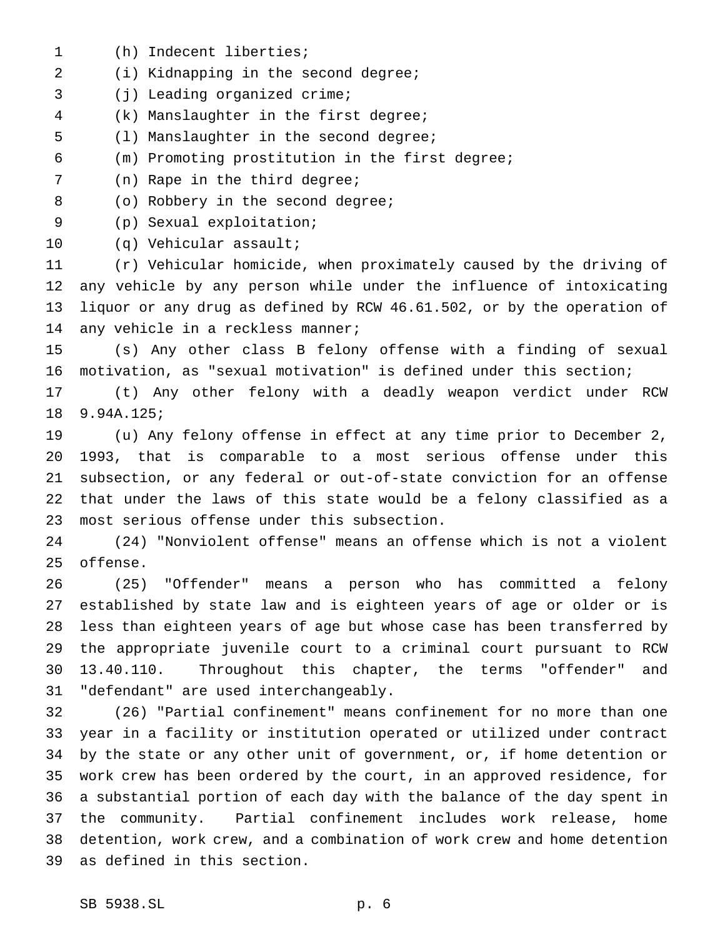(h) Indecent liberties; (i) Kidnapping in the second degree; (j) Leading organized crime; (k) Manslaughter in the first degree; (l) Manslaughter in the second degree; (m) Promoting prostitution in the first degree; (n) Rape in the third degree; 8 (o) Robbery in the second degree; (p) Sexual exploitation; (q) Vehicular assault; (r) Vehicular homicide, when proximately caused by the driving of any vehicle by any person while under the influence of intoxicating liquor or any drug as defined by RCW 46.61.502, or by the operation of 14 any vehicle in a reckless manner; (s) Any other class B felony offense with a finding of sexual motivation, as "sexual motivation" is defined under this section; (t) Any other felony with a deadly weapon verdict under RCW 9.94A.125; (u) Any felony offense in effect at any time prior to December 2, 1993, that is comparable to a most serious offense under this subsection, or any federal or out-of-state conviction for an offense that under the laws of this state would be a felony classified as a most serious offense under this subsection. (24) "Nonviolent offense" means an offense which is not a violent offense. (25) "Offender" means a person who has committed a felony established by state law and is eighteen years of age or older or is less than eighteen years of age but whose case has been transferred by the appropriate juvenile court to a criminal court pursuant to RCW 13.40.110. Throughout this chapter, the terms "offender" and "defendant" are used interchangeably. (26) "Partial confinement" means confinement for no more than one year in a facility or institution operated or utilized under contract by the state or any other unit of government, or, if home detention or work crew has been ordered by the court, in an approved residence, for a substantial portion of each day with the balance of the day spent in the community. Partial confinement includes work release, home detention, work crew, and a combination of work crew and home detention as defined in this section.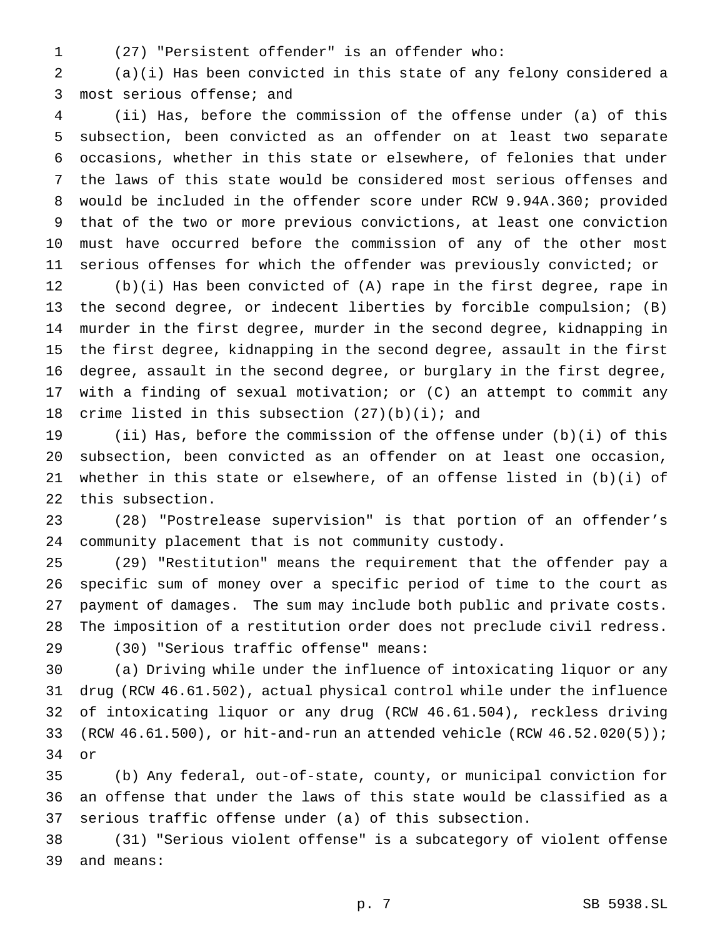- 
- (27) "Persistent offender" is an offender who:

 (a)(i) Has been convicted in this state of any felony considered a most serious offense; and

 (ii) Has, before the commission of the offense under (a) of this subsection, been convicted as an offender on at least two separate occasions, whether in this state or elsewhere, of felonies that under the laws of this state would be considered most serious offenses and would be included in the offender score under RCW 9.94A.360; provided that of the two or more previous convictions, at least one conviction must have occurred before the commission of any of the other most serious offenses for which the offender was previously convicted; or

 (b)(i) Has been convicted of (A) rape in the first degree, rape in the second degree, or indecent liberties by forcible compulsion; (B) murder in the first degree, murder in the second degree, kidnapping in the first degree, kidnapping in the second degree, assault in the first degree, assault in the second degree, or burglary in the first degree, with a finding of sexual motivation; or (C) an attempt to commit any 18 crime listed in this subsection  $(27)(b)(i)$ ; and

 (ii) Has, before the commission of the offense under (b)(i) of this subsection, been convicted as an offender on at least one occasion, whether in this state or elsewhere, of an offense listed in (b)(i) of this subsection.

 (28) "Postrelease supervision" is that portion of an offender's community placement that is not community custody.

 (29) "Restitution" means the requirement that the offender pay a specific sum of money over a specific period of time to the court as payment of damages. The sum may include both public and private costs. The imposition of a restitution order does not preclude civil redress.

(30) "Serious traffic offense" means:

 (a) Driving while under the influence of intoxicating liquor or any drug (RCW 46.61.502), actual physical control while under the influence of intoxicating liquor or any drug (RCW 46.61.504), reckless driving 33 (RCW  $46.61.500$ ), or hit-and-run an attended vehicle (RCW  $46.52.020(5)$ ); or

 (b) Any federal, out-of-state, county, or municipal conviction for an offense that under the laws of this state would be classified as a serious traffic offense under (a) of this subsection.

 (31) "Serious violent offense" is a subcategory of violent offense and means: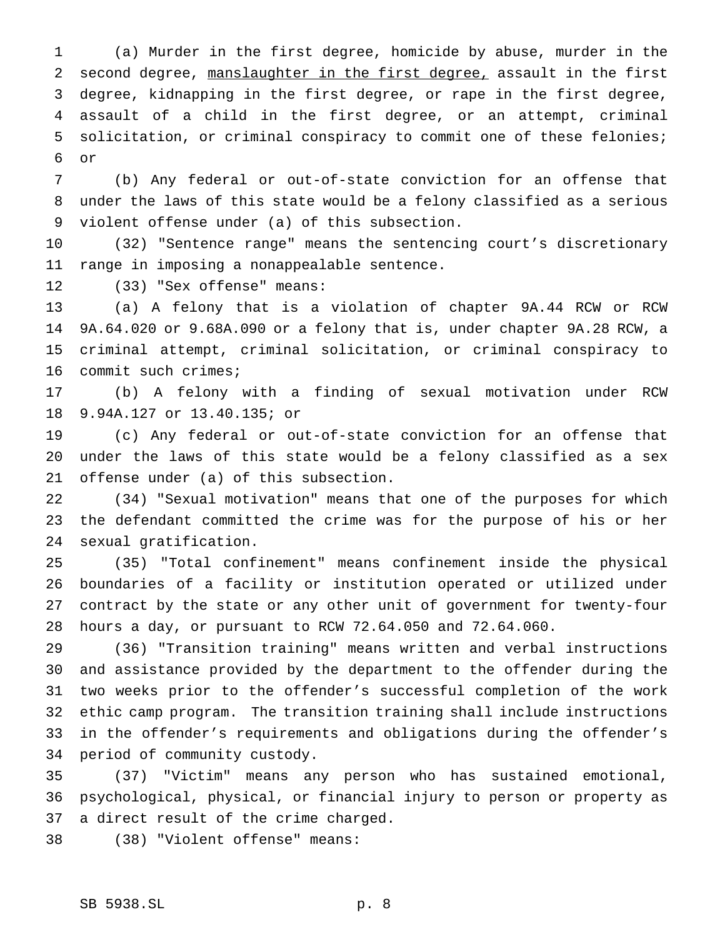(a) Murder in the first degree, homicide by abuse, murder in the second degree, manslaughter in the first degree, assault in the first degree, kidnapping in the first degree, or rape in the first degree, assault of a child in the first degree, or an attempt, criminal solicitation, or criminal conspiracy to commit one of these felonies; or

 (b) Any federal or out-of-state conviction for an offense that under the laws of this state would be a felony classified as a serious violent offense under (a) of this subsection.

 (32) "Sentence range" means the sentencing court's discretionary range in imposing a nonappealable sentence.

(33) "Sex offense" means:

 (a) A felony that is a violation of chapter 9A.44 RCW or RCW 9A.64.020 or 9.68A.090 or a felony that is, under chapter 9A.28 RCW, a criminal attempt, criminal solicitation, or criminal conspiracy to commit such crimes;

 (b) A felony with a finding of sexual motivation under RCW 9.94A.127 or 13.40.135; or

 (c) Any federal or out-of-state conviction for an offense that under the laws of this state would be a felony classified as a sex offense under (a) of this subsection.

 (34) "Sexual motivation" means that one of the purposes for which the defendant committed the crime was for the purpose of his or her sexual gratification.

 (35) "Total confinement" means confinement inside the physical boundaries of a facility or institution operated or utilized under contract by the state or any other unit of government for twenty-four hours a day, or pursuant to RCW 72.64.050 and 72.64.060.

 (36) "Transition training" means written and verbal instructions and assistance provided by the department to the offender during the two weeks prior to the offender's successful completion of the work ethic camp program. The transition training shall include instructions in the offender's requirements and obligations during the offender's period of community custody.

 (37) "Victim" means any person who has sustained emotional, psychological, physical, or financial injury to person or property as a direct result of the crime charged.

(38) "Violent offense" means: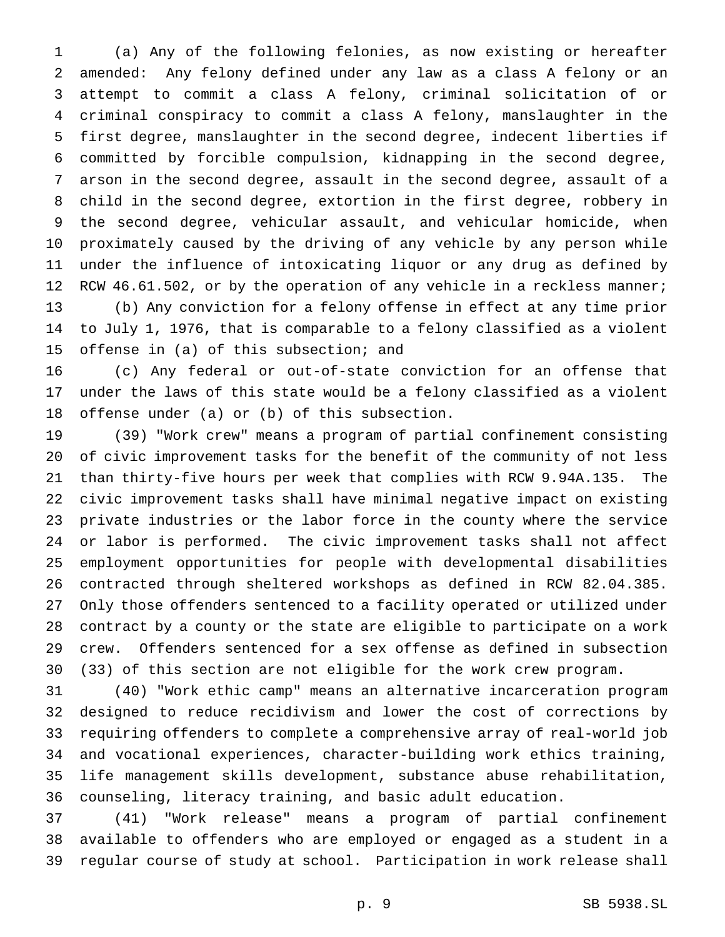(a) Any of the following felonies, as now existing or hereafter amended: Any felony defined under any law as a class A felony or an attempt to commit a class A felony, criminal solicitation of or criminal conspiracy to commit a class A felony, manslaughter in the first degree, manslaughter in the second degree, indecent liberties if committed by forcible compulsion, kidnapping in the second degree, arson in the second degree, assault in the second degree, assault of a child in the second degree, extortion in the first degree, robbery in the second degree, vehicular assault, and vehicular homicide, when proximately caused by the driving of any vehicle by any person while under the influence of intoxicating liquor or any drug as defined by 12 RCW 46.61.502, or by the operation of any vehicle in a reckless manner; (b) Any conviction for a felony offense in effect at any time prior to July 1, 1976, that is comparable to a felony classified as a violent offense in (a) of this subsection; and

 (c) Any federal or out-of-state conviction for an offense that under the laws of this state would be a felony classified as a violent offense under (a) or (b) of this subsection.

 (39) "Work crew" means a program of partial confinement consisting of civic improvement tasks for the benefit of the community of not less than thirty-five hours per week that complies with RCW 9.94A.135. The civic improvement tasks shall have minimal negative impact on existing private industries or the labor force in the county where the service or labor is performed. The civic improvement tasks shall not affect employment opportunities for people with developmental disabilities contracted through sheltered workshops as defined in RCW 82.04.385. Only those offenders sentenced to a facility operated or utilized under contract by a county or the state are eligible to participate on a work crew. Offenders sentenced for a sex offense as defined in subsection (33) of this section are not eligible for the work crew program.

 (40) "Work ethic camp" means an alternative incarceration program designed to reduce recidivism and lower the cost of corrections by requiring offenders to complete a comprehensive array of real-world job and vocational experiences, character-building work ethics training, life management skills development, substance abuse rehabilitation, counseling, literacy training, and basic adult education.

 (41) "Work release" means a program of partial confinement available to offenders who are employed or engaged as a student in a regular course of study at school. Participation in work release shall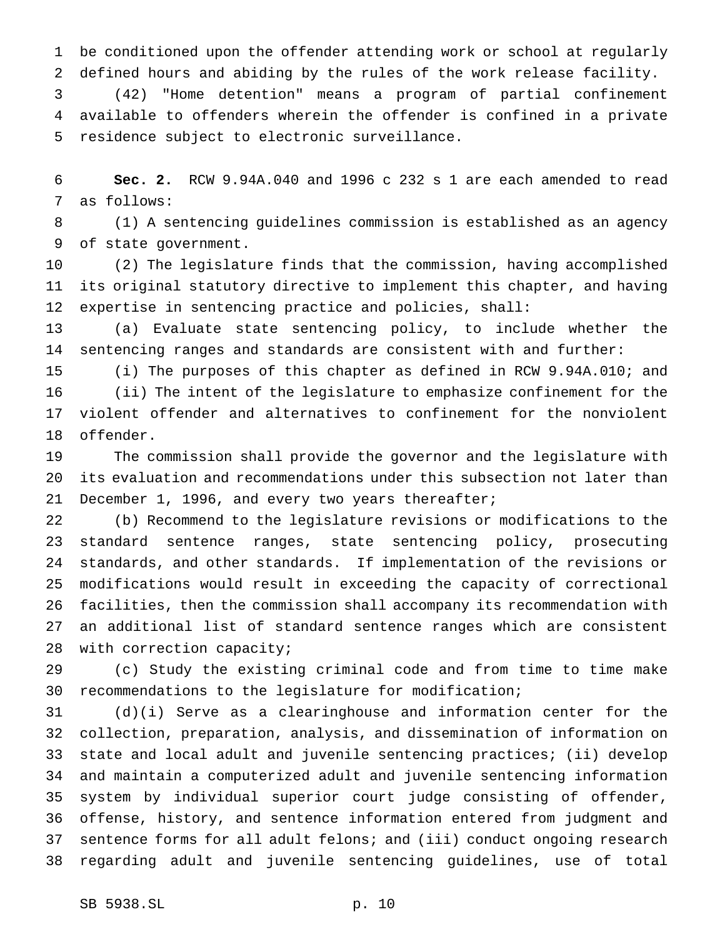be conditioned upon the offender attending work or school at regularly defined hours and abiding by the rules of the work release facility.

 (42) "Home detention" means a program of partial confinement available to offenders wherein the offender is confined in a private residence subject to electronic surveillance.

 **Sec. 2.** RCW 9.94A.040 and 1996 c 232 s 1 are each amended to read as follows:

 (1) A sentencing guidelines commission is established as an agency of state government.

 (2) The legislature finds that the commission, having accomplished its original statutory directive to implement this chapter, and having expertise in sentencing practice and policies, shall:

 (a) Evaluate state sentencing policy, to include whether the sentencing ranges and standards are consistent with and further:

 (i) The purposes of this chapter as defined in RCW 9.94A.010; and (ii) The intent of the legislature to emphasize confinement for the violent offender and alternatives to confinement for the nonviolent offender.

 The commission shall provide the governor and the legislature with its evaluation and recommendations under this subsection not later than December 1, 1996, and every two years thereafter;

 (b) Recommend to the legislature revisions or modifications to the standard sentence ranges, state sentencing policy, prosecuting standards, and other standards. If implementation of the revisions or modifications would result in exceeding the capacity of correctional facilities, then the commission shall accompany its recommendation with an additional list of standard sentence ranges which are consistent with correction capacity;

 (c) Study the existing criminal code and from time to time make recommendations to the legislature for modification;

 (d)(i) Serve as a clearinghouse and information center for the collection, preparation, analysis, and dissemination of information on state and local adult and juvenile sentencing practices; (ii) develop and maintain a computerized adult and juvenile sentencing information system by individual superior court judge consisting of offender, offense, history, and sentence information entered from judgment and 37 sentence forms for all adult felons; and (iii) conduct ongoing research regarding adult and juvenile sentencing guidelines, use of total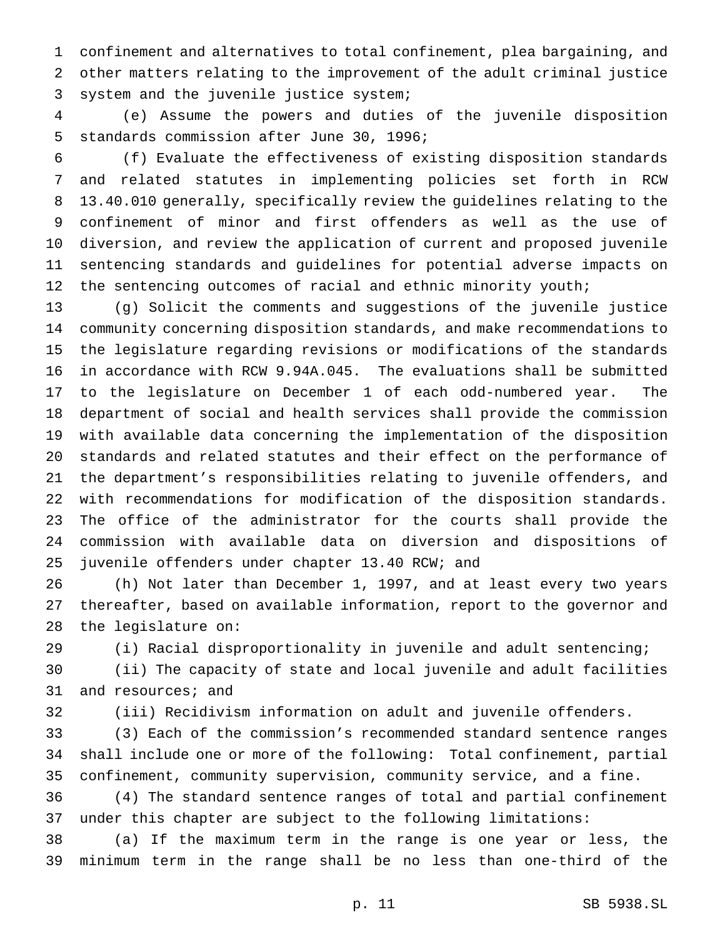confinement and alternatives to total confinement, plea bargaining, and other matters relating to the improvement of the adult criminal justice system and the juvenile justice system;

 (e) Assume the powers and duties of the juvenile disposition standards commission after June 30, 1996;

 (f) Evaluate the effectiveness of existing disposition standards and related statutes in implementing policies set forth in RCW 13.40.010 generally, specifically review the guidelines relating to the confinement of minor and first offenders as well as the use of diversion, and review the application of current and proposed juvenile sentencing standards and guidelines for potential adverse impacts on 12 the sentencing outcomes of racial and ethnic minority youth;

 (g) Solicit the comments and suggestions of the juvenile justice community concerning disposition standards, and make recommendations to the legislature regarding revisions or modifications of the standards in accordance with RCW 9.94A.045. The evaluations shall be submitted to the legislature on December 1 of each odd-numbered year. The department of social and health services shall provide the commission with available data concerning the implementation of the disposition standards and related statutes and their effect on the performance of the department's responsibilities relating to juvenile offenders, and with recommendations for modification of the disposition standards. The office of the administrator for the courts shall provide the commission with available data on diversion and dispositions of juvenile offenders under chapter 13.40 RCW; and

 (h) Not later than December 1, 1997, and at least every two years thereafter, based on available information, report to the governor and the legislature on:

(i) Racial disproportionality in juvenile and adult sentencing;

 (ii) The capacity of state and local juvenile and adult facilities and resources; and

(iii) Recidivism information on adult and juvenile offenders.

 (3) Each of the commission's recommended standard sentence ranges shall include one or more of the following: Total confinement, partial confinement, community supervision, community service, and a fine.

 (4) The standard sentence ranges of total and partial confinement under this chapter are subject to the following limitations:

 (a) If the maximum term in the range is one year or less, the minimum term in the range shall be no less than one-third of the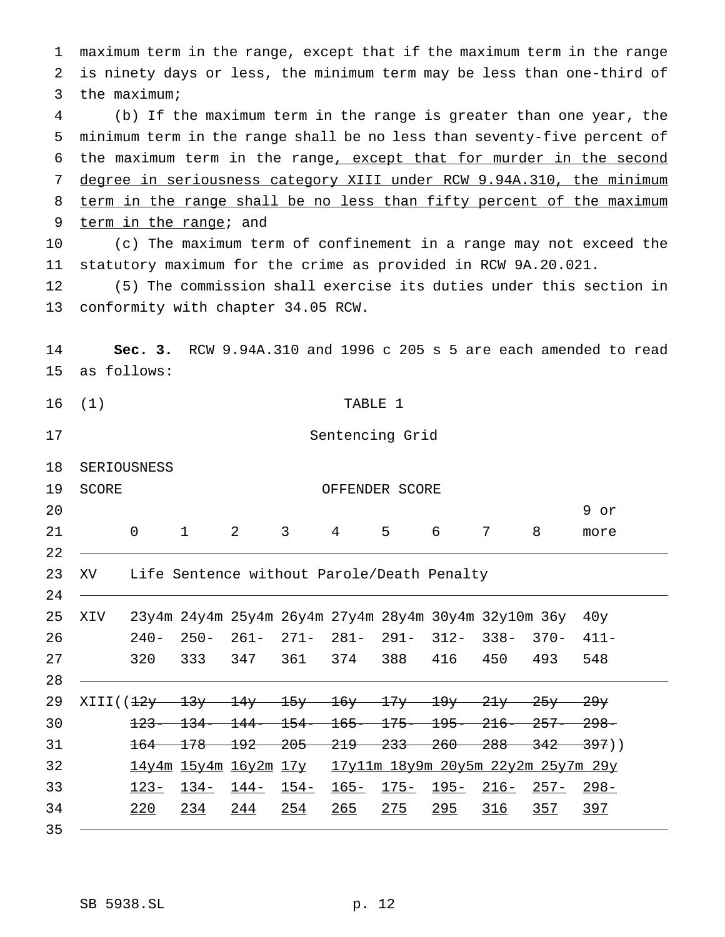maximum term in the range, except that if the maximum term in the range is ninety days or less, the minimum term may be less than one-third of the maximum; (b) If the maximum term in the range is greater than one year, the minimum term in the range shall be no less than seventy-five percent of the maximum term in the range, except that for murder in the second degree in seriousness category XIII under RCW 9.94A.310, the minimum 8 term in the range shall be no less than fifty percent of the maximum 9 term in the range; and (c) The maximum term of confinement in a range may not exceed the statutory maximum for the crime as provided in RCW 9A.20.021. (5) The commission shall exercise its duties under this section in conformity with chapter 34.05 RCW. **Sec. 3.** RCW 9.94A.310 and 1996 c 205 s 5 are each amended to read as follows: (1) TABLE 1 Sentencing Grid SERIOUSNESS 19 SCORE OFFENDER SCORE 20 9 or 21 0 1 2 3 4 5 6 7 8 more XV Life Sentence without Parole/Death Penalty XIV 23y4m 24y4m 25y4m 26y4m 27y4m 28y4m 30y4m 32y10m 36y 40y 240- 250- 261- 271- 281- 291- 312- 338- 370- 411- 320 333 347 361 374 388 416 450 493 548 XIII((12y 13y 14y 15y 16y 17y 19y 21y 25y 29y 123- 134- 144- 154- 165- 175- 195- 216- 257- 298- 31 164 178 192 205 219 233 260 288 342 397)) 14y4m 15y4m 16y2m 17y 17y11m 18y9m 20y5m 22y2m 25y7m 29y 123- 134- 144- 154- 165- 175- 195- 216- 257- 298- 220 234 244 254 265 275 295 316 357 397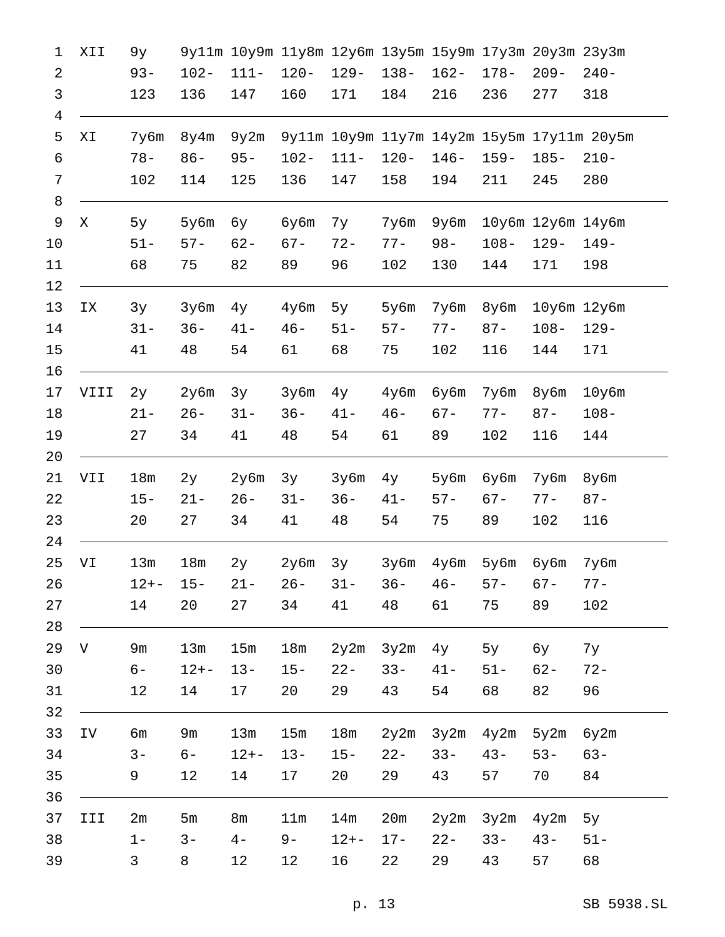| 1                   | XII  | 9y              |                |          |         |           |         | 9y11m 10y9m 11y8m 12y6m 13y5m 15y9m 17y3m 20y3m 23y3m |         |                            |                                            |
|---------------------|------|-----------------|----------------|----------|---------|-----------|---------|-------------------------------------------------------|---------|----------------------------|--------------------------------------------|
| 2                   |      | $93 -$          | $102 -$        | $111 -$  | $120 -$ | $129 -$   | $138 -$ | $162 -$                                               | $178-$  | $209 -$                    | $240-$                                     |
| 3                   |      | 123             | 136            | 147      | 160     | 171       | 184     | 216                                                   | 236     | 277                        | 318                                        |
| $\overline{4}$<br>5 | ΧI   | 7y6m            | 8y4m           | 9y2m     |         |           |         |                                                       |         |                            | 9y11m 10y9m 11y7m 14y2m 15y5m 17y11m 20y5m |
| 6                   |      | $78 -$          | $86 -$         | $95 -$   | $102 -$ | $111 -$   | $120 -$ | $146 -$                                               | $159 -$ | $185 -$                    | $210-$                                     |
| 7                   |      | 102             | 114            | 125      | 136     | 147       | 158     | 194                                                   | 211     | 245                        | 280                                        |
| 8                   |      |                 |                |          |         |           |         |                                                       |         |                            |                                            |
| 9                   | X    | 5y              | 5y6m           | бу       | бубт    | 7у        | 7y6m    | 9y6m                                                  |         | $10y$ 6m $12y$ 6m $14y$ 6m |                                            |
| 10                  |      | $51 -$          | $57 -$         | $62 -$   | $67 -$  | $72 -$    | $77 -$  | $98 -$                                                | $108 -$ | $129 -$                    | $149-$                                     |
| 11                  |      | 68              | 75             | 82       | 89      | 96        | 102     | 130                                                   | 144     | 171                        | 198                                        |
| 12<br>13            | ΙX   | 3y              | 3y6m           | 4y       | 4y6m    | 5y        | 5y6m    | 7y6m                                                  | 8y6m    |                            | $10y6m$ $12y6m$                            |
| 14                  |      | $31 -$          | $36 -$         | $41 -$   | $46 -$  | $51 -$    | $57 -$  | $77 -$                                                | $87 -$  | $108 -$                    | $129 -$                                    |
| 15                  |      | 41              | 48             | 54       | 61      | 68        | 75      | 102                                                   | 116     | 144                        | 171                                        |
| 16                  |      |                 |                |          |         |           |         |                                                       |         |                            |                                            |
| 17                  | VIII | 2y              | 2y6m           | 3y       | 3y6m    | $4$ y     | $4y$ 6m | бу6m                                                  | 7y6m    | $8y$ 6m                    | $10y$ 6m                                   |
| 18                  |      | $21 -$          | $26 -$         | $31 -$   | $36 -$  | $41 -$    | $46 -$  | $67 -$                                                | $77 -$  | $87 -$                     | $108 -$                                    |
| 19                  |      | 27              | 34             | 41       | 48      | 54        | 61      | 89                                                    | 102     | 116                        | 144                                        |
| 20<br>21            | VII  | 18 <sub>m</sub> | 2y             | 2y6m     | 3y      | 3y6m      | $4$ y   | 5у6m                                                  | бу6m    | 7y6m                       | $8y$ 6m                                    |
| 22                  |      | $15 -$          | $21 -$         | $26 -$   | $31 -$  | $36 -$    | $41 -$  | $57 -$                                                | $67 -$  | $77 -$                     | $87 -$                                     |
| 23                  |      | 20              | 27             | 34       | 41      | 48        | 54      | 75                                                    | 89      | 102                        | 116                                        |
| 24<br>25            | VI   | 13m             | 18m            | 2y       | 2y6m    | 3y        | 3y6m    | 4y6m                                                  | 5у6m    | бубm                       | 7y6m                                       |
| 26                  |      | $12 + -$        | $15 -$         | $21 -$   | $26 -$  | $31 -$    | $36 -$  | $46 -$                                                | $57 -$  | $67 -$                     | $77-$                                      |
| 27                  |      | 14              | 20             | 27       | 34      | 41        | 48      | 61                                                    | 75      | 89                         | 102                                        |
| 28<br>29            | V    | 9m              | 13m            | 15m      | 18m     | 2y2m 3y2m |         | $4$ y                                                 | 5y      | бу                         | 7y                                         |
| 30                  |      | $6-$            | $12 + -$       | $13 -$   | $15 -$  | $22 -$    | $33 -$  | $41 -$                                                | $51 -$  | $62 -$                     | $72 -$                                     |
| 31                  |      | 12              | 14             | 17       | 20      | 29        | 43      | 54                                                    | 68      | 82                         | 96                                         |
| 32                  |      |                 |                |          |         |           |         |                                                       |         |                            |                                            |
| 33                  | IV   | бm              | 9m             | 13m      | 15m     | 18m       |         | 2y2m 3y2m 4y2m 5y2m                                   |         |                            | 6y2m                                       |
| 34                  |      | $3 -$           | $6-$           | $12 + -$ | $13 -$  | $15-$     | $22 -$  | $33 -$                                                | $43 -$  | $53 -$                     | $63 -$                                     |
| 35                  |      | 9               | 12             | 14       | 17      | 20        | 29      | 43                                                    | 57      | 70                         | 84                                         |
| 36<br>37            | III  | 2m              | 5 <sub>m</sub> | 8m       | 11m     | 14m       | 20m     | $2y2m$ $3y2m$ $4y2m$                                  |         |                            | 5y                                         |
| 38                  |      | $1 -$           | $3 -$          | $4-$     | $9-$    | $12 + -$  | $17 -$  | $22 -$                                                | $33 -$  | $43 -$                     | $51 -$                                     |
| 39                  |      | 3               | 8              | 12       | 12      | 16        | 22      | 29                                                    | 43      | 57                         | 68                                         |
|                     |      |                 |                |          |         |           |         |                                                       |         |                            |                                            |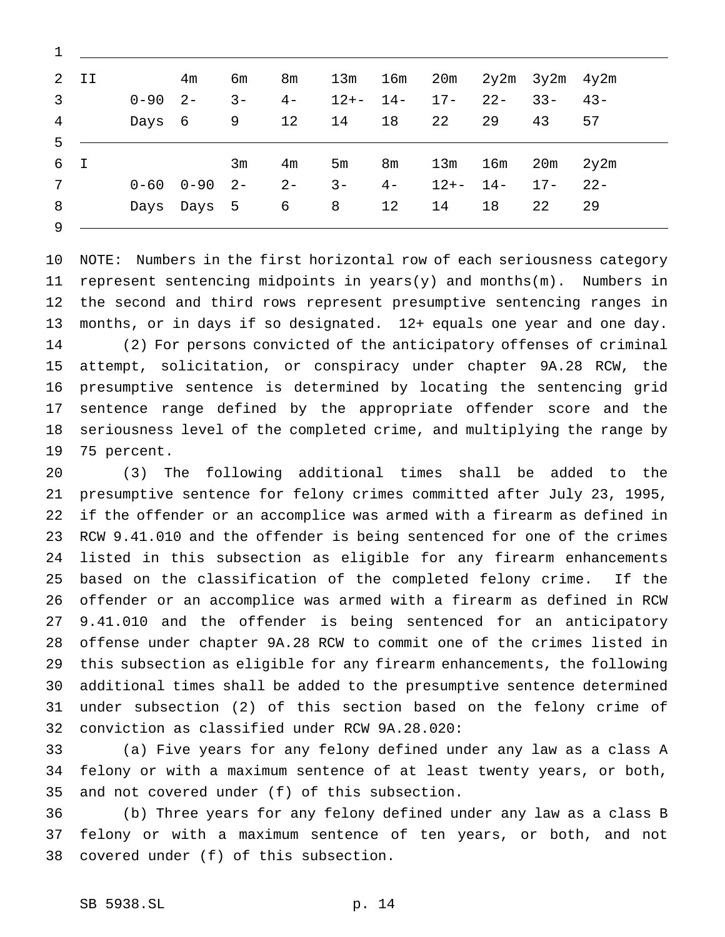|    | $2$ II |             | 4 <sub>m</sub>                    | бm             | 8m             | 13m            |            | 16m 20m 2y2m 3y2m 4y2m |            |                  |    |
|----|--------|-------------|-----------------------------------|----------------|----------------|----------------|------------|------------------------|------------|------------------|----|
| 3  |        | $0 - 90$ 2- |                                   | $3 -$          | $4-$           |                | $12+-$ 14- | $17-$                  |            | $22 - 33 - 43 -$ |    |
| 4  |        | Days        | $\overline{9}$<br>$6\overline{6}$ |                | 12             | 14             | 18         | 22                     | 29         | 43               | 57 |
| 5. |        |             |                                   |                |                |                |            |                        |            |                  |    |
|    | 6 I    |             |                                   | 3 <sub>m</sub> | 4 <sub>m</sub> | 5 <sub>m</sub> | 8m         | 13m                    | 16m        | $20m$ $2y2m$     |    |
| 7  |        |             | $0 - 60$ $0 - 90$ $2 -$           |                | $2 -$          | $3 -$          | $4-$       |                        | $12+-$ 14- | $17 - 22 -$      |    |
| 8  |        |             | Days Days 5                       |                | 6              | $8\degree$     | 12         | 14                     | 18         | 22               | 29 |
| 9  |        |             |                                   |                |                |                |            |                        |            |                  |    |

 NOTE: Numbers in the first horizontal row of each seriousness category 11 represent sentencing midpoints in years(y) and months(m). Numbers in the second and third rows represent presumptive sentencing ranges in months, or in days if so designated. 12+ equals one year and one day. (2) For persons convicted of the anticipatory offenses of criminal attempt, solicitation, or conspiracy under chapter 9A.28 RCW, the presumptive sentence is determined by locating the sentencing grid sentence range defined by the appropriate offender score and the seriousness level of the completed crime, and multiplying the range by 75 percent.

 (3) The following additional times shall be added to the presumptive sentence for felony crimes committed after July 23, 1995, if the offender or an accomplice was armed with a firearm as defined in RCW 9.41.010 and the offender is being sentenced for one of the crimes listed in this subsection as eligible for any firearm enhancements based on the classification of the completed felony crime. If the offender or an accomplice was armed with a firearm as defined in RCW 9.41.010 and the offender is being sentenced for an anticipatory offense under chapter 9A.28 RCW to commit one of the crimes listed in this subsection as eligible for any firearm enhancements, the following additional times shall be added to the presumptive sentence determined under subsection (2) of this section based on the felony crime of conviction as classified under RCW 9A.28.020:

 (a) Five years for any felony defined under any law as a class A felony or with a maximum sentence of at least twenty years, or both, and not covered under (f) of this subsection.

 (b) Three years for any felony defined under any law as a class B felony or with a maximum sentence of ten years, or both, and not covered under (f) of this subsection.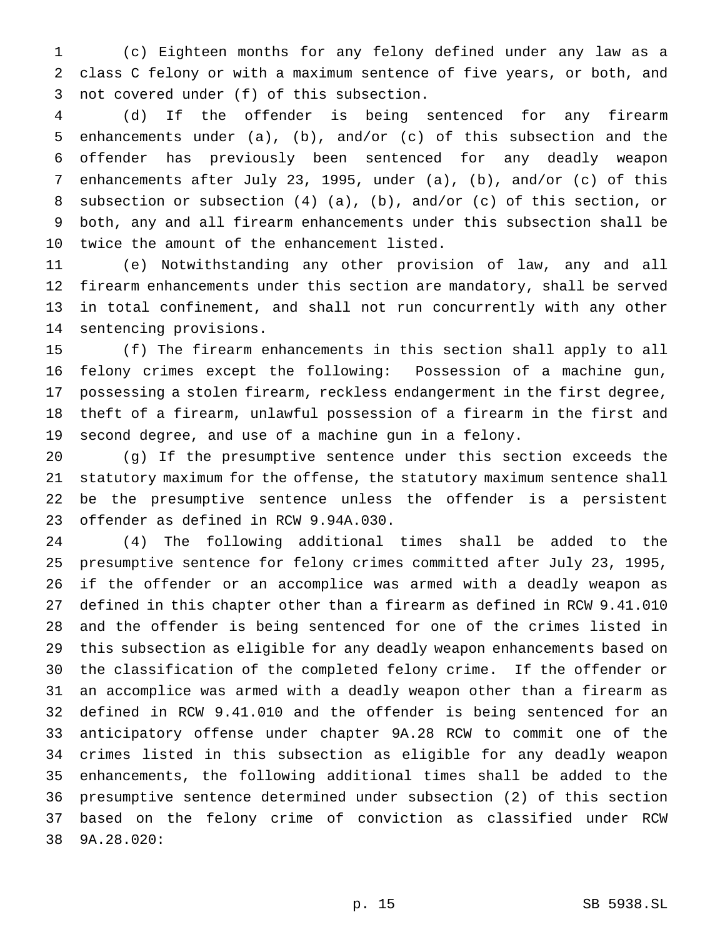(c) Eighteen months for any felony defined under any law as a class C felony or with a maximum sentence of five years, or both, and not covered under (f) of this subsection.

 (d) If the offender is being sentenced for any firearm enhancements under (a), (b), and/or (c) of this subsection and the offender has previously been sentenced for any deadly weapon enhancements after July 23, 1995, under (a), (b), and/or (c) of this subsection or subsection (4) (a), (b), and/or (c) of this section, or both, any and all firearm enhancements under this subsection shall be twice the amount of the enhancement listed.

 (e) Notwithstanding any other provision of law, any and all firearm enhancements under this section are mandatory, shall be served in total confinement, and shall not run concurrently with any other sentencing provisions.

 (f) The firearm enhancements in this section shall apply to all felony crimes except the following: Possession of a machine gun, possessing a stolen firearm, reckless endangerment in the first degree, theft of a firearm, unlawful possession of a firearm in the first and second degree, and use of a machine gun in a felony.

 (g) If the presumptive sentence under this section exceeds the statutory maximum for the offense, the statutory maximum sentence shall be the presumptive sentence unless the offender is a persistent offender as defined in RCW 9.94A.030.

 (4) The following additional times shall be added to the presumptive sentence for felony crimes committed after July 23, 1995, if the offender or an accomplice was armed with a deadly weapon as defined in this chapter other than a firearm as defined in RCW 9.41.010 and the offender is being sentenced for one of the crimes listed in this subsection as eligible for any deadly weapon enhancements based on the classification of the completed felony crime. If the offender or an accomplice was armed with a deadly weapon other than a firearm as defined in RCW 9.41.010 and the offender is being sentenced for an anticipatory offense under chapter 9A.28 RCW to commit one of the crimes listed in this subsection as eligible for any deadly weapon enhancements, the following additional times shall be added to the presumptive sentence determined under subsection (2) of this section based on the felony crime of conviction as classified under RCW 9A.28.020: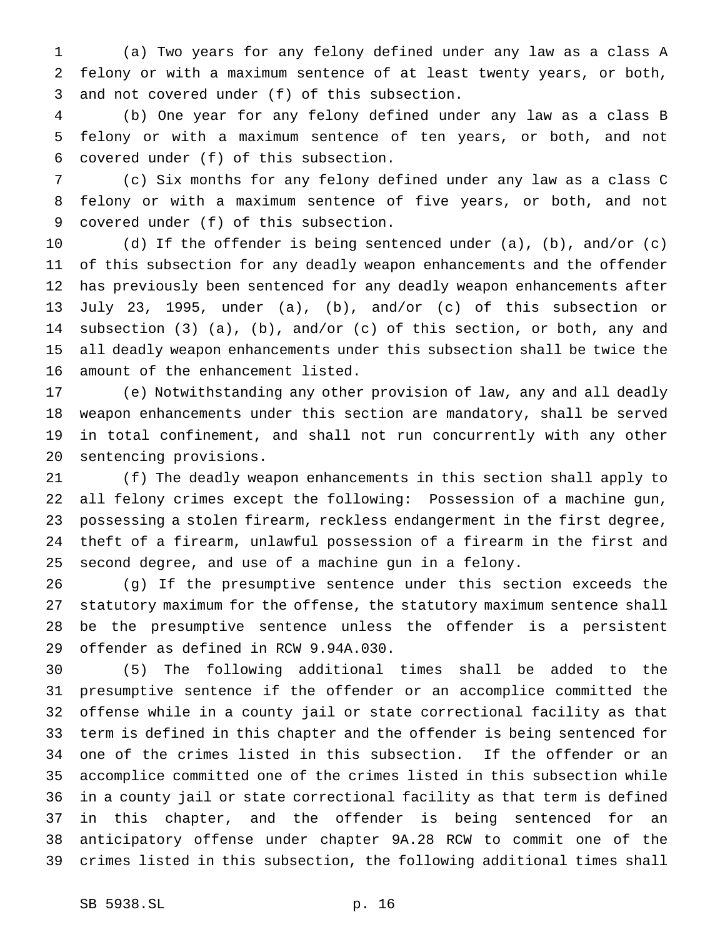(a) Two years for any felony defined under any law as a class A felony or with a maximum sentence of at least twenty years, or both, and not covered under (f) of this subsection.

 (b) One year for any felony defined under any law as a class B felony or with a maximum sentence of ten years, or both, and not covered under (f) of this subsection.

 (c) Six months for any felony defined under any law as a class C felony or with a maximum sentence of five years, or both, and not covered under (f) of this subsection.

 (d) If the offender is being sentenced under (a), (b), and/or (c) of this subsection for any deadly weapon enhancements and the offender has previously been sentenced for any deadly weapon enhancements after July 23, 1995, under (a), (b), and/or (c) of this subsection or subsection (3) (a), (b), and/or (c) of this section, or both, any and all deadly weapon enhancements under this subsection shall be twice the amount of the enhancement listed.

 (e) Notwithstanding any other provision of law, any and all deadly weapon enhancements under this section are mandatory, shall be served in total confinement, and shall not run concurrently with any other sentencing provisions.

 (f) The deadly weapon enhancements in this section shall apply to all felony crimes except the following: Possession of a machine gun, possessing a stolen firearm, reckless endangerment in the first degree, theft of a firearm, unlawful possession of a firearm in the first and second degree, and use of a machine gun in a felony.

 (g) If the presumptive sentence under this section exceeds the statutory maximum for the offense, the statutory maximum sentence shall be the presumptive sentence unless the offender is a persistent offender as defined in RCW 9.94A.030.

 (5) The following additional times shall be added to the presumptive sentence if the offender or an accomplice committed the offense while in a county jail or state correctional facility as that term is defined in this chapter and the offender is being sentenced for one of the crimes listed in this subsection. If the offender or an accomplice committed one of the crimes listed in this subsection while in a county jail or state correctional facility as that term is defined in this chapter, and the offender is being sentenced for an anticipatory offense under chapter 9A.28 RCW to commit one of the crimes listed in this subsection, the following additional times shall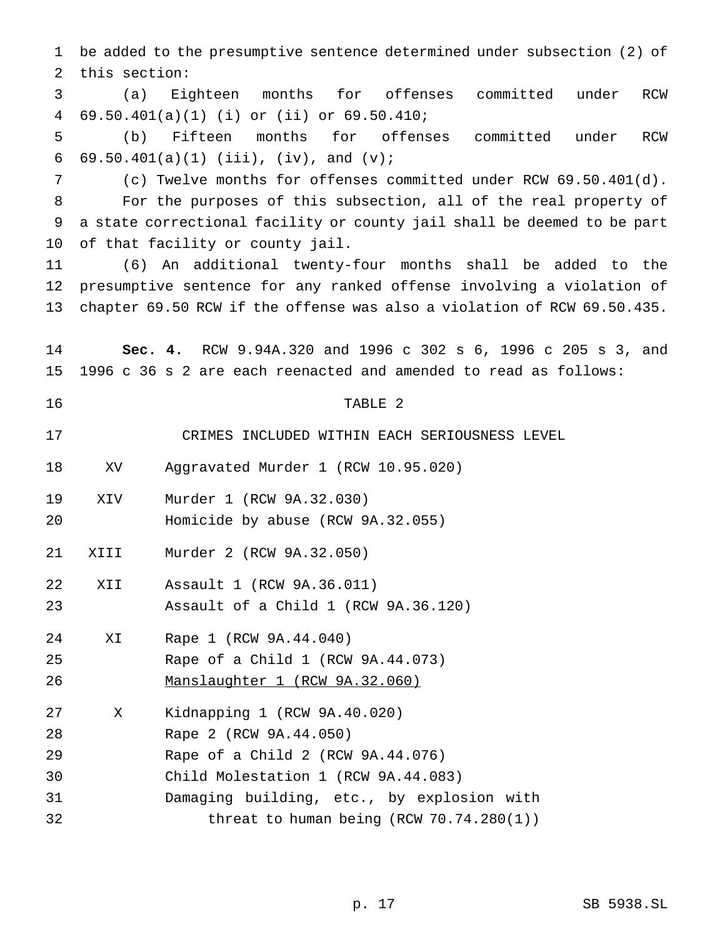be added to the presumptive sentence determined under subsection (2) of this section: (a) Eighteen months for offenses committed under RCW 69.50.401(a)(1) (i) or (ii) or 69.50.410; (b) Fifteen months for offenses committed under RCW 6 69.50.401(a)(1) (iii), (iv), and  $(v)$ ; (c) Twelve months for offenses committed under RCW 69.50.401(d). For the purposes of this subsection, all of the real property of a state correctional facility or county jail shall be deemed to be part of that facility or county jail. (6) An additional twenty-four months shall be added to the presumptive sentence for any ranked offense involving a violation of chapter 69.50 RCW if the offense was also a violation of RCW 69.50.435. **Sec. 4.** RCW 9.94A.320 and 1996 c 302 s 6, 1996 c 205 s 3, and 1996 c 36 s 2 are each reenacted and amended to read as follows: 16 TABLE 2 CRIMES INCLUDED WITHIN EACH SERIOUSNESS LEVEL XV Aggravated Murder 1 (RCW 10.95.020) XIV Murder 1 (RCW 9A.32.030) Homicide by abuse (RCW 9A.32.055) XIII Murder 2 (RCW 9A.32.050) XII Assault 1 (RCW 9A.36.011) Assault of a Child 1 (RCW 9A.36.120) XI Rape 1 (RCW 9A.44.040) Rape of a Child 1 (RCW 9A.44.073) Manslaughter 1 (RCW 9A.32.060) X Kidnapping 1 (RCW 9A.40.020) Rape 2 (RCW 9A.44.050) Rape of a Child 2 (RCW 9A.44.076) Child Molestation 1 (RCW 9A.44.083) Damaging building, etc., by explosion with threat to human being (RCW 70.74.280(1))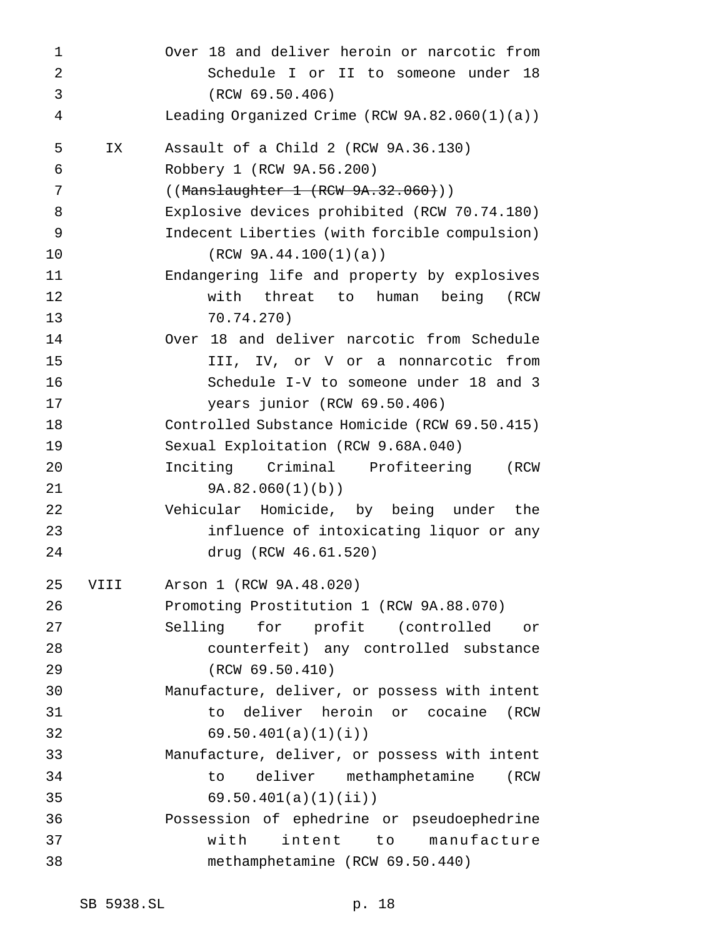| 1  |      | Over 18 and deliver heroin or narcotic from      |
|----|------|--------------------------------------------------|
| 2  |      | Schedule I or II to someone under 18             |
| 3  |      | (RCW 69.50.406)                                  |
| 4  |      | Leading Organized Crime (RCW $9A.82.060(1)(a)$ ) |
| 5  | IX   | Assault of a Child 2 (RCW 9A.36.130)             |
| 6  |      | Robbery 1 (RCW 9A.56.200)                        |
| 7  |      | ((Manslaughter 1 (RCW 9A.32.060)))               |
| 8  |      | Explosive devices prohibited (RCW 70.74.180)     |
| 9  |      | Indecent Liberties (with forcible compulsion)    |
| 10 |      | (RCW 9A.44.100(1)(a))                            |
| 11 |      | Endangering life and property by explosives      |
| 12 |      | with threat to human<br>being<br>(RCW            |
| 13 |      | 70.74.270)                                       |
| 14 |      | Over 18 and deliver narcotic from Schedule       |
| 15 |      | III, IV, or V or a nonnarcotic from              |
| 16 |      | Schedule I-V to someone under 18 and 3           |
| 17 |      | years junior (RCW 69.50.406)                     |
| 18 |      | Controlled Substance Homicide (RCW 69.50.415)    |
| 19 |      | Sexual Exploitation (RCW 9.68A.040)              |
| 20 |      | Inciting Criminal Profiteering<br>(RCW           |
| 21 |      | 9A.82.060(1)(b)                                  |
| 22 |      | Vehicular Homicide, by being under<br>the        |
| 23 |      | influence of intoxicating liquor or any          |
| 24 |      | drug (RCW 46.61.520)                             |
| 25 | VIII | Arson 1 (RCW 9A.48.020)                          |
| 26 |      | Promoting Prostitution 1 (RCW 9A.88.070)         |
| 27 |      | for profit (controlled or<br>Selling             |
| 28 |      | counterfeit) any controlled substance            |
| 29 |      | (RCW 69.50.410)                                  |
| 30 |      | Manufacture, deliver, or possess with intent     |
| 31 |      | to deliver heroin or cocaine<br>(RCW             |
| 32 |      | 69.50.401(a)(1)(i)                               |
| 33 |      | Manufacture, deliver, or possess with intent     |
| 34 |      | deliver methamphetamine<br>to<br>(RCW            |
| 35 |      | 69.50.401(a)(1)(ii)                              |
| 36 |      | Possession of ephedrine or pseudoephedrine       |
| 37 |      | intent to manufacture<br>with                    |
| 38 |      | methamphetamine (RCW 69.50.440)                  |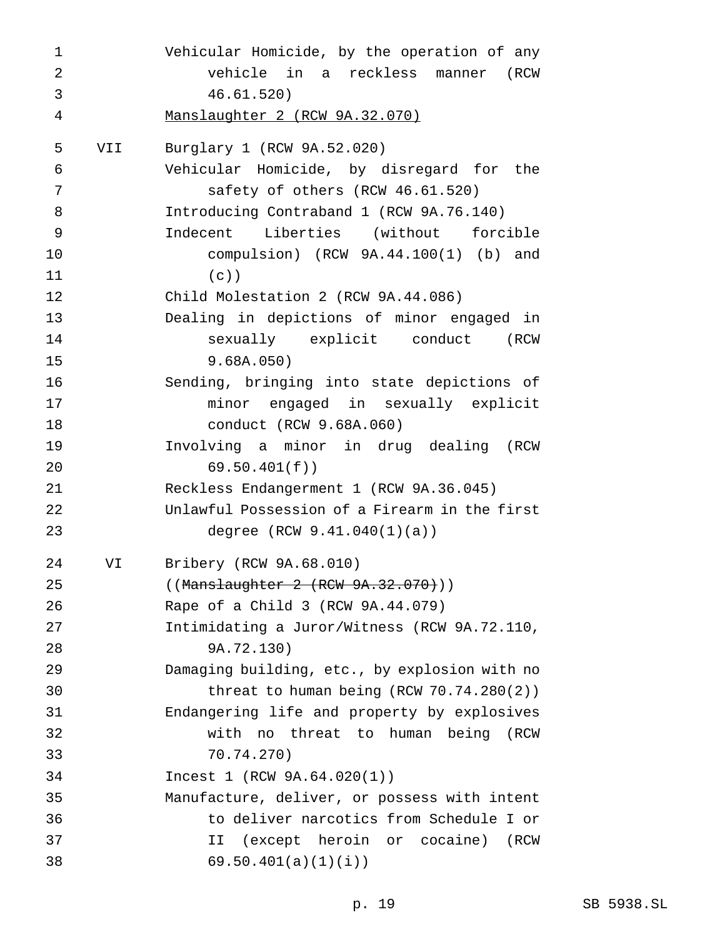Vehicular Homicide, by the operation of any vehicle in a reckless manner (RCW 46.61.520) Manslaughter 2 (RCW 9A.32.070) VII Burglary 1 (RCW 9A.52.020) Vehicular Homicide, by disregard for the safety of others (RCW 46.61.520) Introducing Contraband 1 (RCW 9A.76.140) Indecent Liberties (without forcible compulsion) (RCW 9A.44.100(1) (b) and (c)) Child Molestation 2 (RCW 9A.44.086) Dealing in depictions of minor engaged in sexually explicit conduct (RCW 9.68A.050) Sending, bringing into state depictions of minor engaged in sexually explicit conduct (RCW 9.68A.060) Involving a minor in drug dealing (RCW 69.50.401(f)) Reckless Endangerment 1 (RCW 9A.36.045) Unlawful Possession of a Firearm in the first degree (RCW 9.41.040(1)(a)) VI Bribery (RCW 9A.68.010) 25 ((Manslaughter 2 (RCW 9A.32.070)) Rape of a Child 3 (RCW 9A.44.079) Intimidating a Juror/Witness (RCW 9A.72.110, 9A.72.130) Damaging building, etc., by explosion with no threat to human being (RCW 70.74.280(2)) Endangering life and property by explosives with no threat to human being (RCW 70.74.270) Incest 1 (RCW 9A.64.020(1)) Manufacture, deliver, or possess with intent to deliver narcotics from Schedule I or II (except heroin or cocaine) (RCW 69.50.401(a)(1)(i))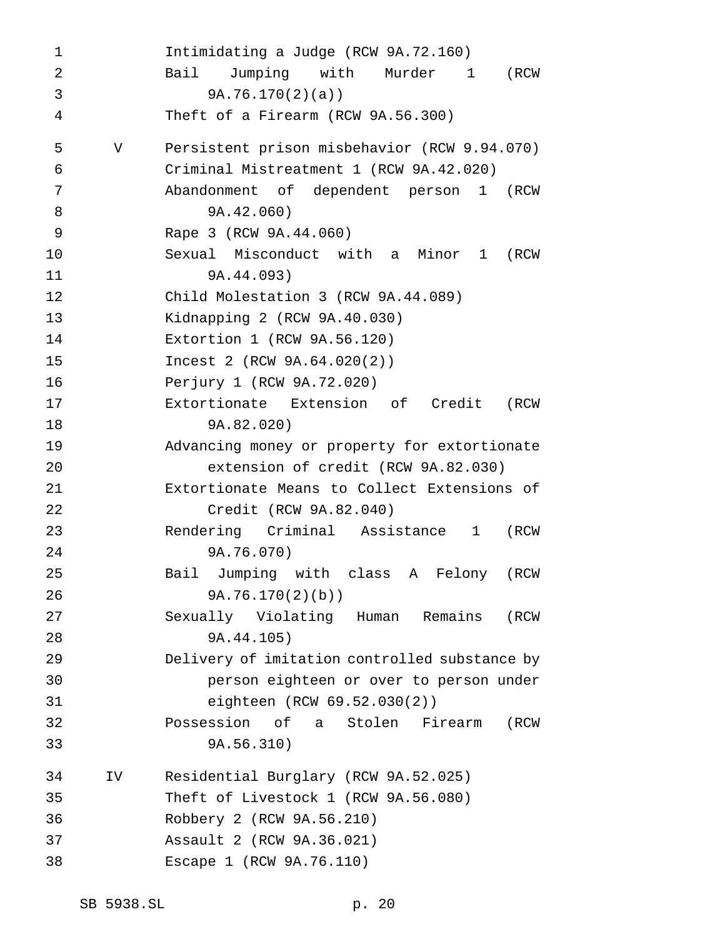Intimidating a Judge (RCW 9A.72.160) Bail Jumping with Murder 1 (RCW 9A.76.170(2)(a)) Theft of a Firearm (RCW 9A.56.300) V Persistent prison misbehavior (RCW 9.94.070) Criminal Mistreatment 1 (RCW 9A.42.020) Abandonment of dependent person 1 (RCW 9A.42.060) Rape 3 (RCW 9A.44.060) Sexual Misconduct with a Minor 1 (RCW 9A.44.093) Child Molestation 3 (RCW 9A.44.089) Kidnapping 2 (RCW 9A.40.030) Extortion 1 (RCW 9A.56.120) Incest 2 (RCW 9A.64.020(2)) Perjury 1 (RCW 9A.72.020) Extortionate Extension of Credit (RCW 9A.82.020) Advancing money or property for extortionate extension of credit (RCW 9A.82.030) Extortionate Means to Collect Extensions of Credit (RCW 9A.82.040) Rendering Criminal Assistance 1 (RCW 9A.76.070) Bail Jumping with class A Felony (RCW 9A.76.170(2)(b)) Sexually Violating Human Remains (RCW 9A.44.105) Delivery of imitation controlled substance by person eighteen or over to person under eighteen (RCW 69.52.030(2)) Possession of a Stolen Firearm (RCW 9A.56.310) IV Residential Burglary (RCW 9A.52.025) Theft of Livestock 1 (RCW 9A.56.080) Robbery 2 (RCW 9A.56.210) Assault 2 (RCW 9A.36.021) Escape 1 (RCW 9A.76.110)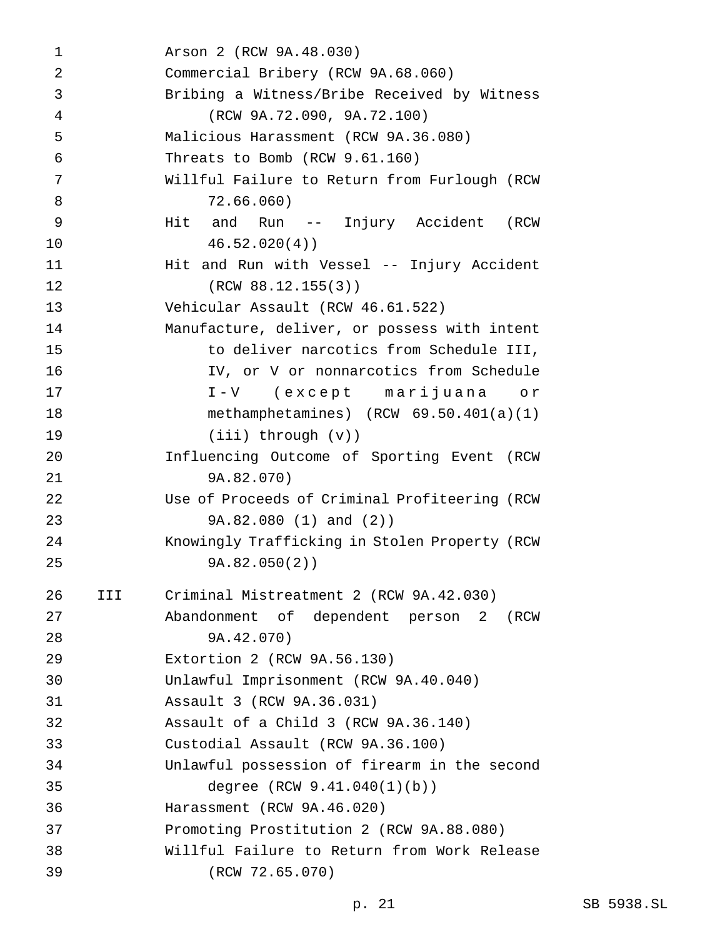Arson 2 (RCW 9A.48.030) Commercial Bribery (RCW 9A.68.060) Bribing a Witness/Bribe Received by Witness (RCW 9A.72.090, 9A.72.100) Malicious Harassment (RCW 9A.36.080) Threats to Bomb (RCW 9.61.160) Willful Failure to Return from Furlough (RCW 72.66.060) Hit and Run -- Injury Accident (RCW 46.52.020(4)) 11 Hit and Run with Vessel -- Injury Accident (RCW 88.12.155(3)) Vehicular Assault (RCW 46.61.522) Manufacture, deliver, or possess with intent to deliver narcotics from Schedule III, IV, or V or nonnarcotics from Schedule I-V (except marijuana or methamphetamines) (RCW 69.50.401(a)(1) (iii) through (v)) Influencing Outcome of Sporting Event (RCW 9A.82.070) Use of Proceeds of Criminal Profiteering (RCW 9A.82.080 (1) and (2)) Knowingly Trafficking in Stolen Property (RCW 9A.82.050(2)) III Criminal Mistreatment 2 (RCW 9A.42.030) Abandonment of dependent person 2 (RCW 9A.42.070) Extortion 2 (RCW 9A.56.130) Unlawful Imprisonment (RCW 9A.40.040) Assault 3 (RCW 9A.36.031) Assault of a Child 3 (RCW 9A.36.140) Custodial Assault (RCW 9A.36.100) Unlawful possession of firearm in the second degree (RCW 9.41.040(1)(b)) Harassment (RCW 9A.46.020) Promoting Prostitution 2 (RCW 9A.88.080) Willful Failure to Return from Work Release (RCW 72.65.070)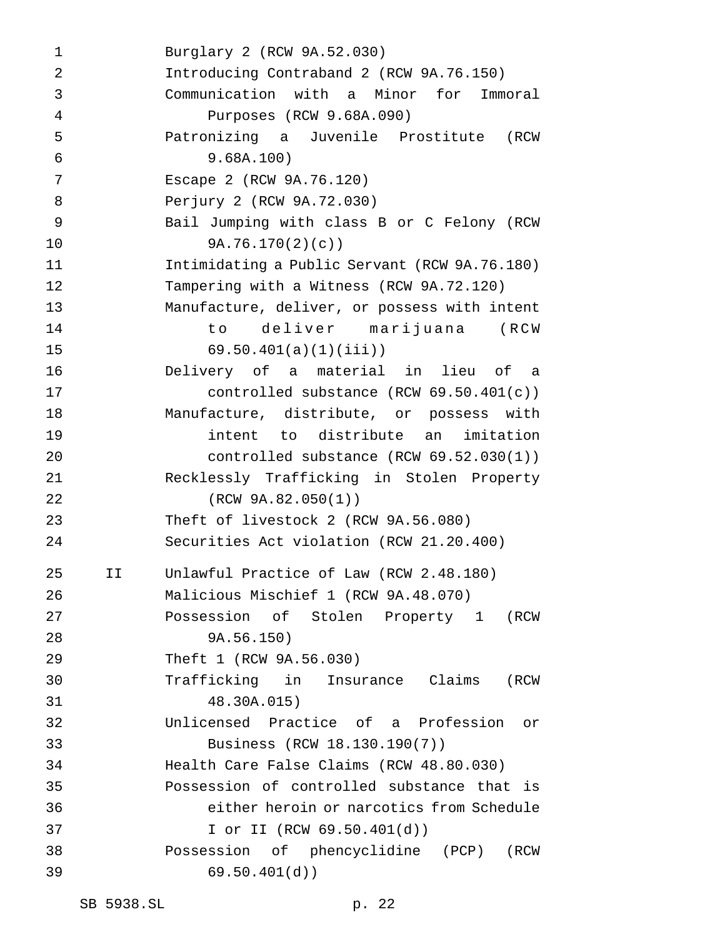Burglary 2 (RCW 9A.52.030) Introducing Contraband 2 (RCW 9A.76.150) Communication with a Minor for Immoral Purposes (RCW 9.68A.090) Patronizing a Juvenile Prostitute (RCW 9.68A.100) Escape 2 (RCW 9A.76.120) Perjury 2 (RCW 9A.72.030) Bail Jumping with class B or C Felony (RCW 9A.76.170(2)(c)) Intimidating a Public Servant (RCW 9A.76.180) Tampering with a Witness (RCW 9A.72.120) Manufacture, deliver, or possess with intent to deliver marijuana (RCW 69.50.401(a)(1)(iii)) Delivery of a material in lieu of a controlled substance (RCW 69.50.401(c)) Manufacture, distribute, or possess with intent to distribute an imitation controlled substance (RCW 69.52.030(1)) Recklessly Trafficking in Stolen Property (RCW 9A.82.050(1)) Theft of livestock 2 (RCW 9A.56.080) Securities Act violation (RCW 21.20.400) II Unlawful Practice of Law (RCW 2.48.180) Malicious Mischief 1 (RCW 9A.48.070) Possession of Stolen Property 1 (RCW 9A.56.150) Theft 1 (RCW 9A.56.030) Trafficking in Insurance Claims (RCW 48.30A.015) Unlicensed Practice of a Profession or Business (RCW 18.130.190(7)) Health Care False Claims (RCW 48.80.030) Possession of controlled substance that is either heroin or narcotics from Schedule I or II (RCW 69.50.401(d)) Possession of phencyclidine (PCP) (RCW 69.50.401(d))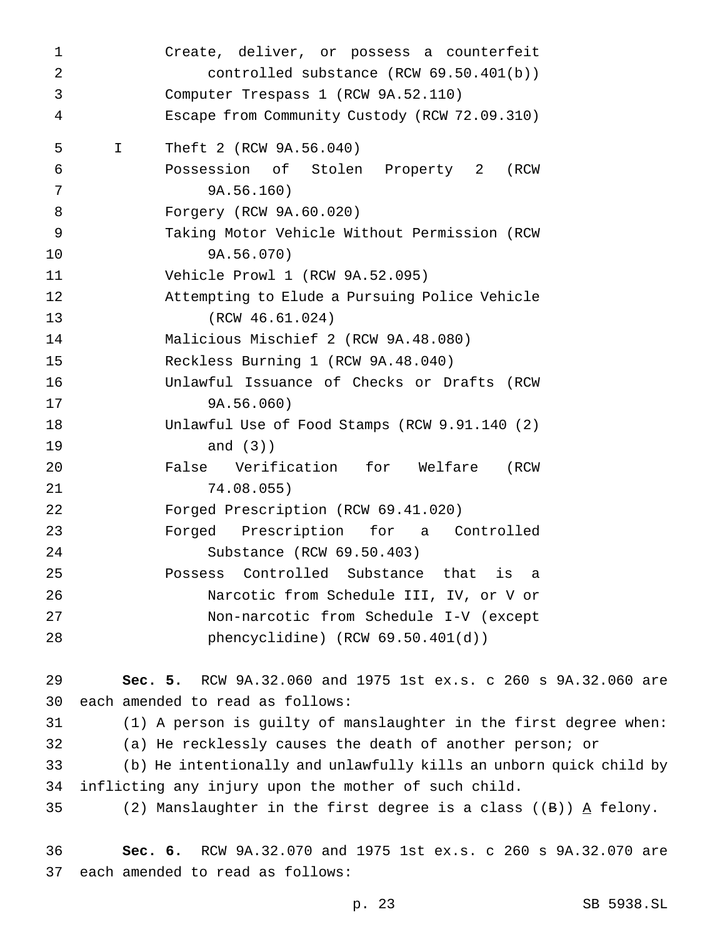Create, deliver, or possess a counterfeit controlled substance (RCW 69.50.401(b)) Computer Trespass 1 (RCW 9A.52.110) Escape from Community Custody (RCW 72.09.310) I Theft 2 (RCW 9A.56.040) Possession of Stolen Property 2 (RCW 9A.56.160) Forgery (RCW 9A.60.020) Taking Motor Vehicle Without Permission (RCW 9A.56.070) Vehicle Prowl 1 (RCW 9A.52.095) Attempting to Elude a Pursuing Police Vehicle (RCW 46.61.024) Malicious Mischief 2 (RCW 9A.48.080) Reckless Burning 1 (RCW 9A.48.040) Unlawful Issuance of Checks or Drafts (RCW 9A.56.060) Unlawful Use of Food Stamps (RCW 9.91.140 (2) and (3)) False Verification for Welfare (RCW 74.08.055) Forged Prescription (RCW 69.41.020) Forged Prescription for a Controlled Substance (RCW 69.50.403) Possess Controlled Substance that is a Narcotic from Schedule III, IV, or V or Non-narcotic from Schedule I-V (except phencyclidine) (RCW 69.50.401(d)) **Sec. 5.** RCW 9A.32.060 and 1975 1st ex.s. c 260 s 9A.32.060 are each amended to read as follows: (1) A person is guilty of manslaughter in the first degree when: (a) He recklessly causes the death of another person; or (b) He intentionally and unlawfully kills an unborn quick child by inflicting any injury upon the mother of such child. (2) Manslaughter in the first degree is a class ((B)) A felony.

 **Sec. 6.** RCW 9A.32.070 and 1975 1st ex.s. c 260 s 9A.32.070 are each amended to read as follows: